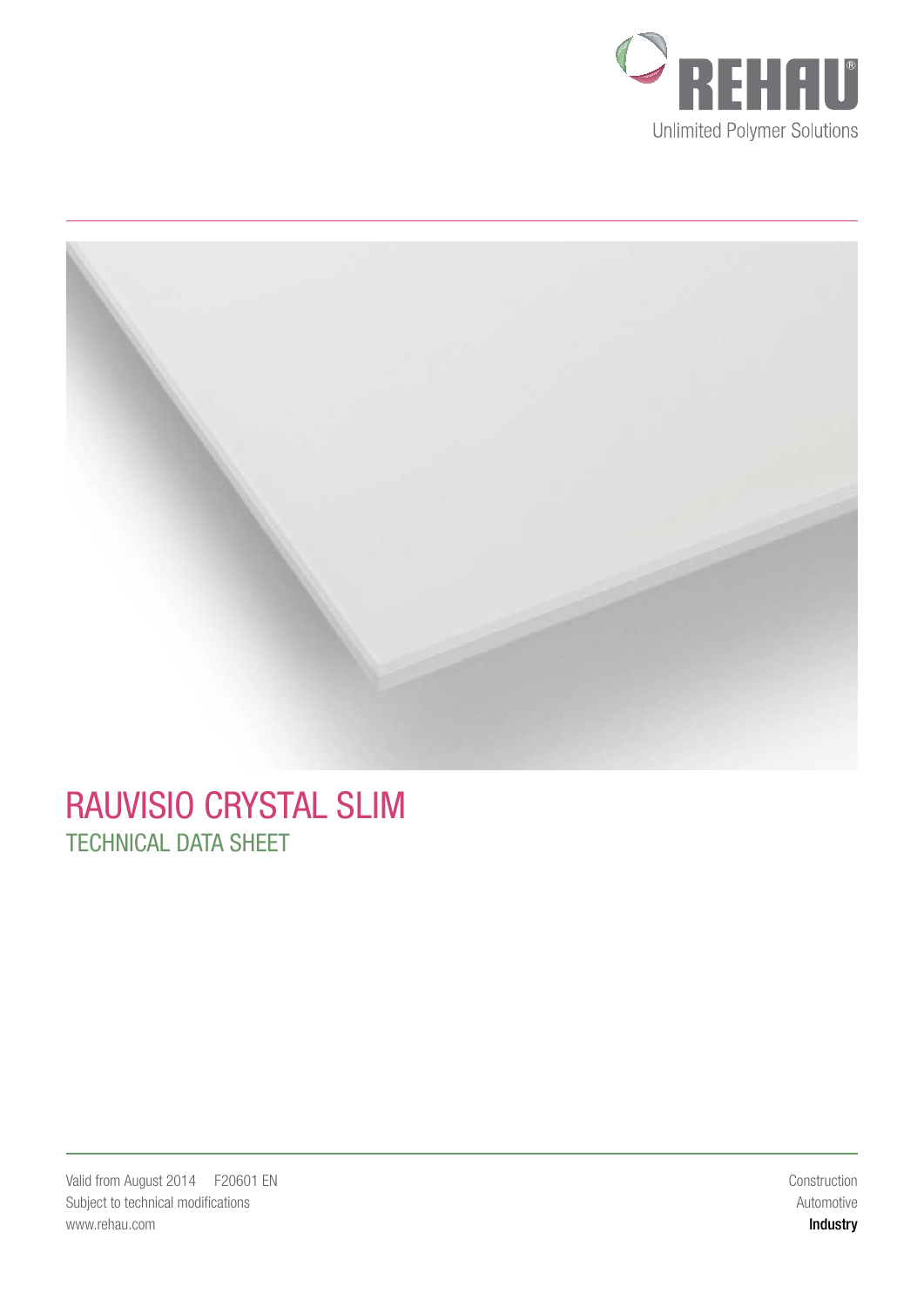



## RAUVISIO CRYSTAL SLIM TECHNICAL DATA SHEET

Construction Automotive Industry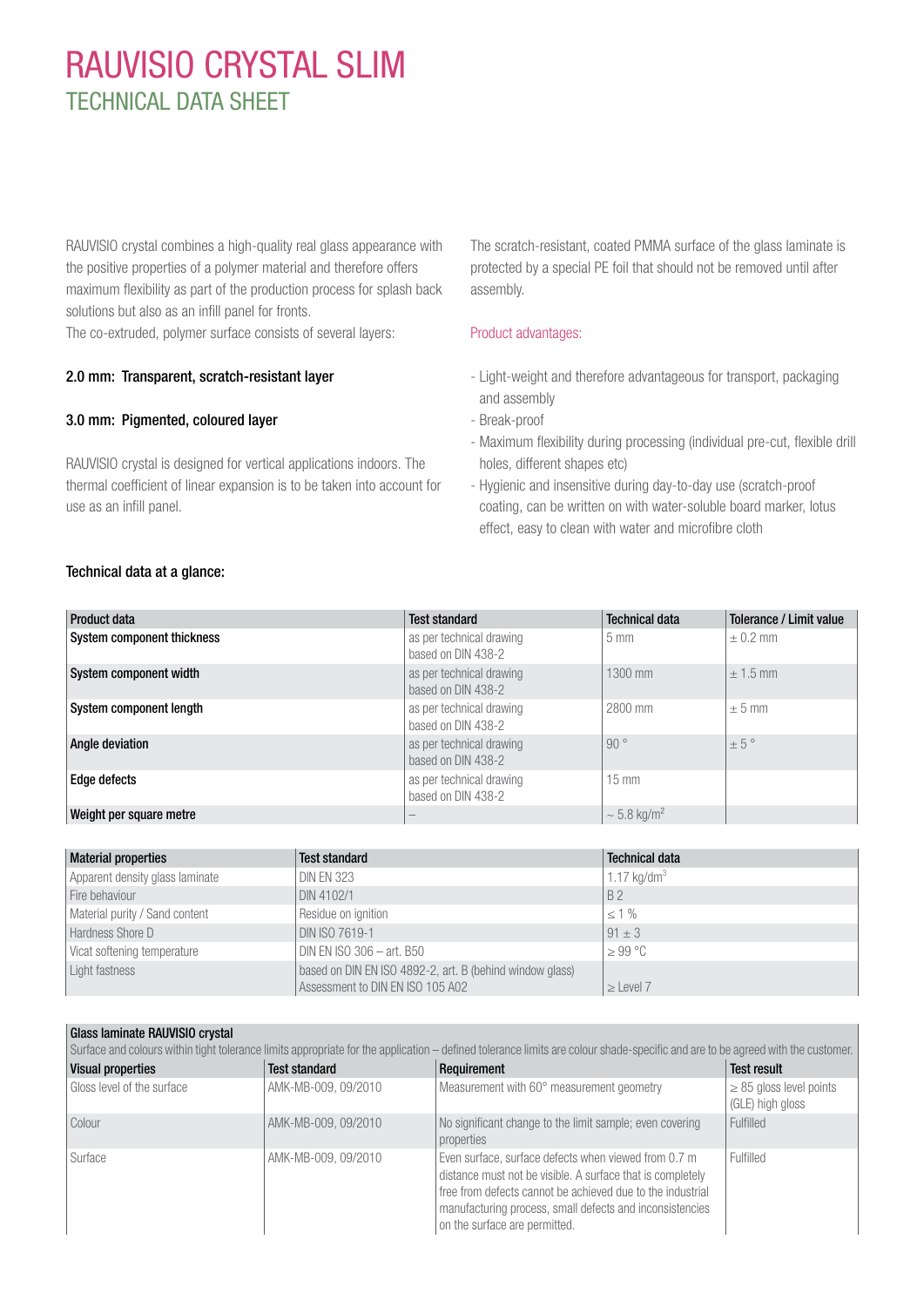# RAUVISIO CRYSTAL SLIM TECHNICAL DATA SHEET

RAUVISIO crystal combines a high-quality real glass appearance with the positive properties of a polymer material and therefore offers maximum flexibility as part of the production process for splash back solutions but also as an infill panel for fronts.

The co-extruded, polymer surface consists of several layers:

### 2.0 mm: Transparent, scratch-resistant layer

### 3.0 mm: Pigmented, coloured layer

RAUVISIO crystal is designed for vertical applications indoors. The thermal coefficient of linear expansion is to be taken into account for use as an infill panel.

The scratch-resistant, coated PMMA surface of the glass laminate is protected by a special PE foil that should not be removed until after assembly.

#### Product advantages:

- Light-weight and therefore advantageous for transport, packaging and assembly
- Break-proof
- Maximum flexibility during processing (individual pre-cut, flexible drill holes, different shapes etc)
- Hygienic and insensitive during day-to-day use (scratch-proof coating, can be written on with water-soluble board marker, lotus effect, easy to clean with water and microfibre cloth

### Technical data at a glance:

| Product data               | <b>Test standard</b>                           | <b>Technical data</b>     | Tolerance / Limit value |
|----------------------------|------------------------------------------------|---------------------------|-------------------------|
| System component thickness | as per technical drawing<br>based on DIN 438-2 | $5 \text{ mm}$            | $\pm$ 0.2 mm            |
| System component width     | as per technical drawing<br>based on DIN 438-2 | 1300 mm                   | $\pm$ 1.5 mm            |
| System component length    | as per technical drawing<br>based on DIN 438-2 | 2800 mm                   | $± 5$ mm                |
| Angle deviation            | as per technical drawing<br>based on DIN 438-2 | 90°                       | ± 5°                    |
| Edge defects               | as per technical drawing<br>based on DIN 438-2 | $15 \text{ mm}$           |                         |
| Weight per square metre    |                                                | $\sim 5.8 \text{ kg/m}^2$ |                         |

| <b>Material properties</b>      | <b>Test standard</b>                                                                         | <b>Technical data</b> |
|---------------------------------|----------------------------------------------------------------------------------------------|-----------------------|
| Apparent density glass laminate | <b>DIN EN 323</b>                                                                            | 1.17 $kg/dm3$         |
| Fire behaviour                  | DIN 4102/1                                                                                   | <b>B2</b>             |
| Material purity / Sand content  | Residue on ignition                                                                          | $\leq 1\%$            |
| Hardness Shore D                | DIN ISO 7619-1                                                                               | $91 \pm 3$            |
| Vicat softening temperature     | DIN EN ISO 306 $-$ art. B50                                                                  | $>99^{\circ}$ C       |
| Light fastness                  | based on DIN EN ISO 4892-2, art. B (behind window glass)<br>Assessment to DIN EN ISO 105 A02 | $\ge$ Level 7         |

| Glass laminate RAUVISIO crystal |                      |                                                                                                                                                                                                                                                                               |                                                  |
|---------------------------------|----------------------|-------------------------------------------------------------------------------------------------------------------------------------------------------------------------------------------------------------------------------------------------------------------------------|--------------------------------------------------|
|                                 |                      | Surface and colours within tight tolerance limits appropriate for the application - defined tolerance limits are colour shade-specific and are to be agreed with the customer.                                                                                                |                                                  |
| <b>Visual properties</b>        | <b>Test standard</b> | Requirement                                                                                                                                                                                                                                                                   | <b>Test result</b>                               |
| Gloss level of the surface      | AMK-MB-009, 09/2010  | Measurement with 60° measurement geometry                                                                                                                                                                                                                                     | $\geq$ 85 gloss level points<br>(GLE) high gloss |
| Colour                          | AMK-MB-009, 09/2010  | No significant change to the limit sample; even covering<br>properties                                                                                                                                                                                                        | Fulfilled                                        |
| Surface                         | AMK-MB-009, 09/2010  | Even surface, surface defects when viewed from 0.7 m<br>distance must not be visible. A surface that is completely<br>free from defects cannot be achieved due to the industrial<br>manufacturing process, small defects and inconsistencies<br>on the surface are permitted. | Fulfilled                                        |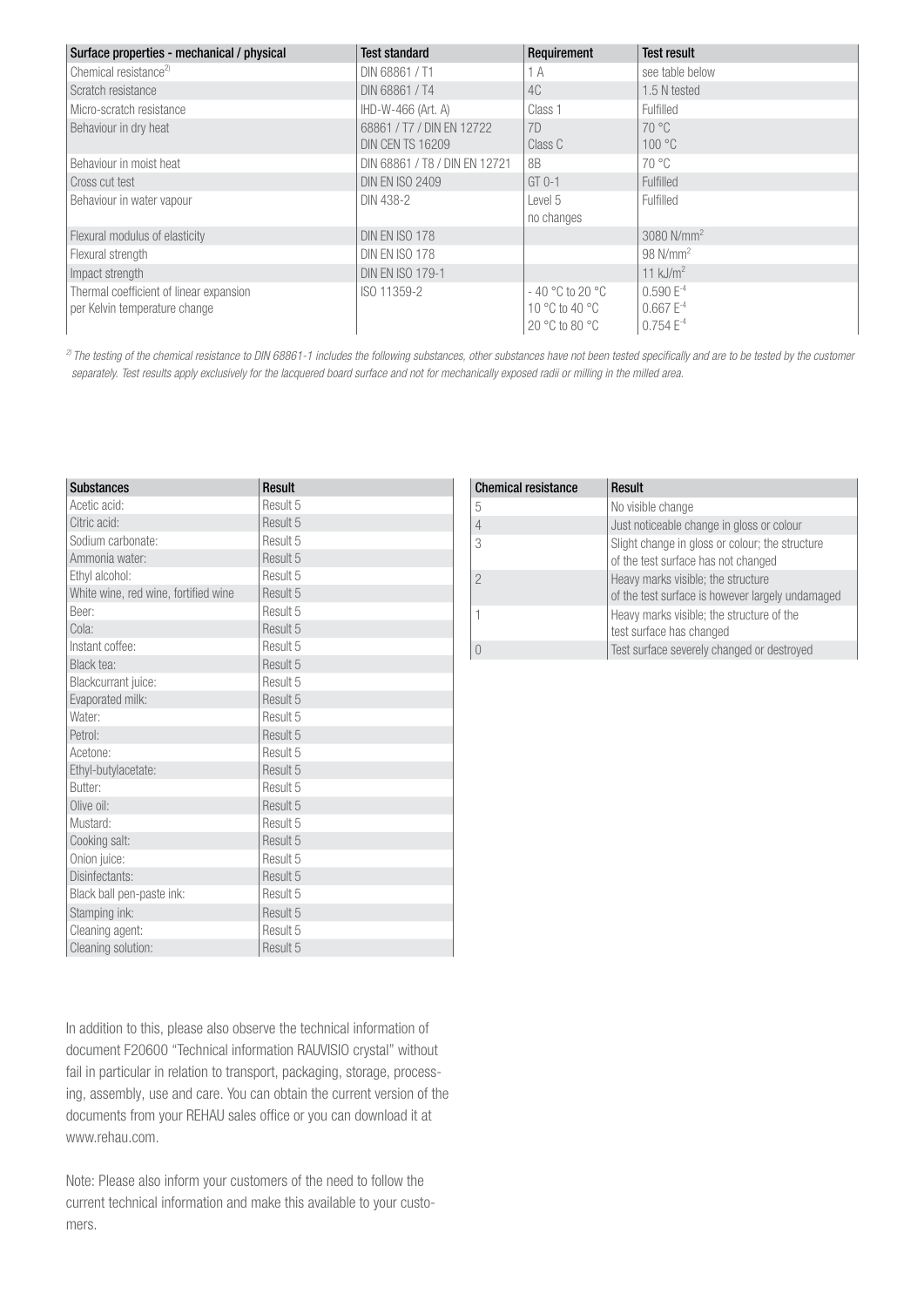| Surface properties - mechanical / physical | <b>Test standard</b>          | Requirement                      | <b>Test result</b>     |
|--------------------------------------------|-------------------------------|----------------------------------|------------------------|
| Chemical resistance <sup>2)</sup>          | DIN 68861 / T1                | 1 A                              | see table below        |
| Scratch resistance                         | DIN 68861/T4                  | 4C                               | 1.5 N tested           |
| Micro-scratch resistance                   | IHD-W-466 (Art. A)            | Class 1                          | Fulfilled              |
| Behaviour in dry heat                      | 68861 / T7 / DIN EN 12722     | 7D                               | $70^{\circ}$ C         |
|                                            | <b>DIN CEN TS 16209</b>       | Class C                          | 100 °C                 |
| Behaviour in moist heat                    | DIN 68861 / T8 / DIN EN 12721 | 8B                               | $70^{\circ}$ C         |
| Cross cut test                             | <b>DIN EN ISO 2409</b>        | $GT$ 0-1                         | Fulfilled              |
| Behaviour in water vapour                  | DIN 438-2                     | Level 5                          | Fulfilled              |
|                                            |                               | no changes                       |                        |
| Flexural modulus of elasticity             | <b>DIN EN ISO 178</b>         |                                  | 3080 $N/mm^2$          |
| Flexural strength                          | <b>DIN EN ISO 178</b>         |                                  | $98$ N/mm <sup>2</sup> |
| Impact strength                            | <b>DIN EN ISO 179-1</b>       |                                  | 11 $kJ/m2$             |
| Thermal coefficient of linear expansion    | ISO 11359-2                   | $-40\degree$ C to 20 $\degree$ C | $0.590E^{-4}$          |
| per Kelvin temperature change              |                               | 10 °C to 40 °C                   | $0.667 E^{-4}$         |
|                                            |                               | 20 °C to 80 °C                   | $0.754E^{-4}$          |

<sup>2)</sup> The testing of the chemical resistance to DIN 68861-1 includes the following substances, other substances have not been tested specifically and are to be tested by the customer separately. Test results apply exclusively for the lacquered board surface and not for mechanically exposed radii or milling in the milled area.

Chemical resistance Result

| <b>Substances</b>                    | Result   |
|--------------------------------------|----------|
| Acetic acid:                         | Result 5 |
| Citric acid:                         | Result 5 |
| Sodium carbonate:                    | Result 5 |
| Ammonia water:                       | Result 5 |
| Ethyl alcohol:                       | Result 5 |
| White wine, red wine, fortified wine | Result 5 |
| Beer:                                | Result 5 |
| Cola:                                | Result 5 |
| Instant coffee:                      | Result 5 |
| Black tea:                           | Result 5 |
| Blackcurrant juice:                  | Result 5 |
| Evaporated milk:                     | Result 5 |
| Water:                               | Result 5 |
| Petrol:                              | Result 5 |
| Acetone:                             | Result 5 |
| Ethyl-butylacetate:                  | Result 5 |
| <b>Butter:</b>                       | Result 5 |
| Olive oil:                           | Result 5 |
| Mustard:                             | Result 5 |
| Cooking salt:                        | Result 5 |
| Onion juice:                         | Result 5 |
| Disinfectants:                       | Result 5 |
| Black ball pen-paste ink:            | Result 5 |
| Stamping ink:                        | Result 5 |
| Cleaning agent:                      | Result 5 |
| Cleaning solution:                   | Result 5 |

| No visible change                                                                      |
|----------------------------------------------------------------------------------------|
| Just noticeable change in gloss or colour                                              |
| Slight change in gloss or colour; the structure<br>of the test surface has not changed |
| Heavy marks visible; the structure<br>of the test surface is however largely undamaged |
| Heavy marks visible; the structure of the<br>test surface has changed                  |
| Test surface severely changed or destroyed                                             |

In addition to this, please also observe the technical information of document F20600 "Technical information RAUVISIO crystal" without fail in particular in relation to transport, packaging, storage, processing, assembly, use and care. You can obtain the current version of the documents from your REHAU sales office or you can download it at www.rehau.com.

Note: Please also inform your customers of the need to follow the current technical information and make this available to your customers.